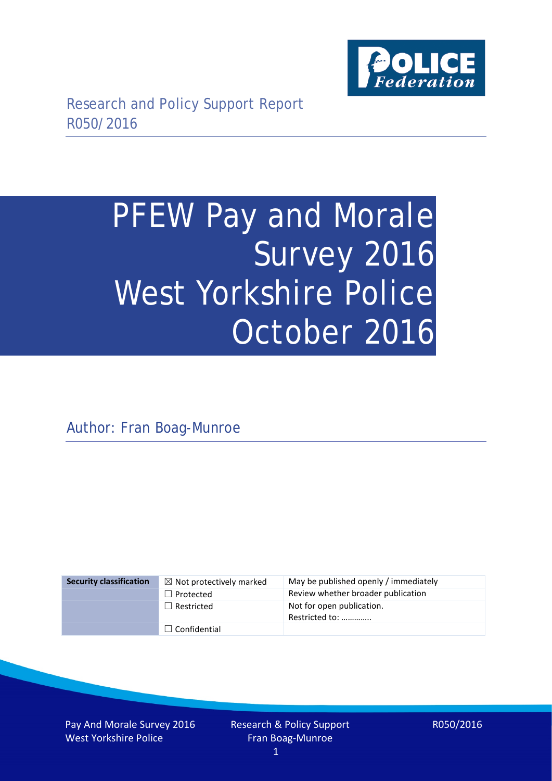

# PFEW Pay and Morale Survey 2016 West Yorkshire Police October 2016

Author: Fran Boag-Munroe

| <b>Security classification</b> | $\boxtimes$ Not protectively marked | May be published openly / immediately       |
|--------------------------------|-------------------------------------|---------------------------------------------|
|                                | $\Box$ Protected                    | Review whether broader publication          |
|                                | $\Box$ Restricted                   | Not for open publication.<br>Restricted to: |
|                                | $\Box$ Confidential                 |                                             |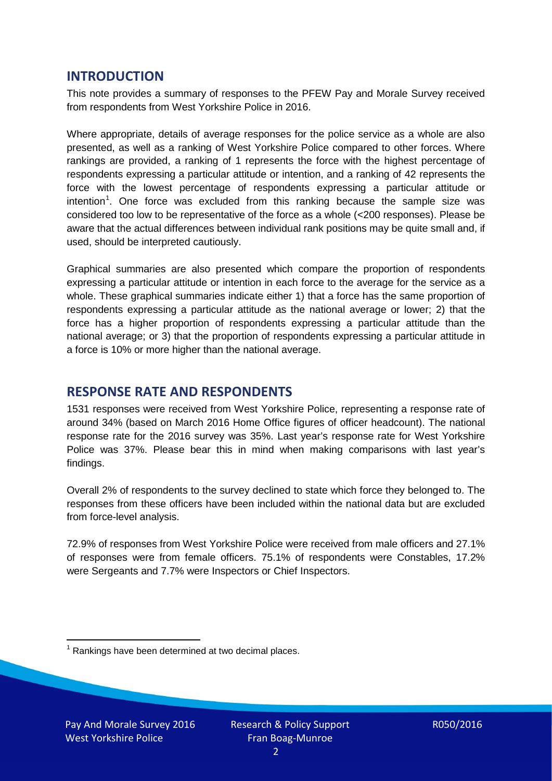## **INTRODUCTION**

This note provides a summary of responses to the PFEW Pay and Morale Survey received from respondents from West Yorkshire Police in 2016.

Where appropriate, details of average responses for the police service as a whole are also presented, as well as a ranking of West Yorkshire Police compared to other forces. Where rankings are provided, a ranking of 1 represents the force with the highest percentage of respondents expressing a particular attitude or intention, and a ranking of 42 represents the force with the lowest percentage of respondents expressing a particular attitude or intention<sup>[1](#page-1-0)</sup>. One force was excluded from this ranking because the sample size was considered too low to be representative of the force as a whole (<200 responses). Please be aware that the actual differences between individual rank positions may be quite small and, if used, should be interpreted cautiously.

Graphical summaries are also presented which compare the proportion of respondents expressing a particular attitude or intention in each force to the average for the service as a whole. These graphical summaries indicate either 1) that a force has the same proportion of respondents expressing a particular attitude as the national average or lower; 2) that the force has a higher proportion of respondents expressing a particular attitude than the national average; or 3) that the proportion of respondents expressing a particular attitude in a force is 10% or more higher than the national average.

# **RESPONSE RATE AND RESPONDENTS**

1531 responses were received from West Yorkshire Police, representing a response rate of around 34% (based on March 2016 Home Office figures of officer headcount). The national response rate for the 2016 survey was 35%. Last year's response rate for West Yorkshire Police was 37%. Please bear this in mind when making comparisons with last year's findings.

Overall 2% of respondents to the survey declined to state which force they belonged to. The responses from these officers have been included within the national data but are excluded from force-level analysis.

72.9% of responses from West Yorkshire Police were received from male officers and 27.1% of responses were from female officers. 75.1% of respondents were Constables, 17.2% were Sergeants and 7.7% were Inspectors or Chief Inspectors.

<span id="page-1-0"></span> $1$  Rankings have been determined at two decimal places.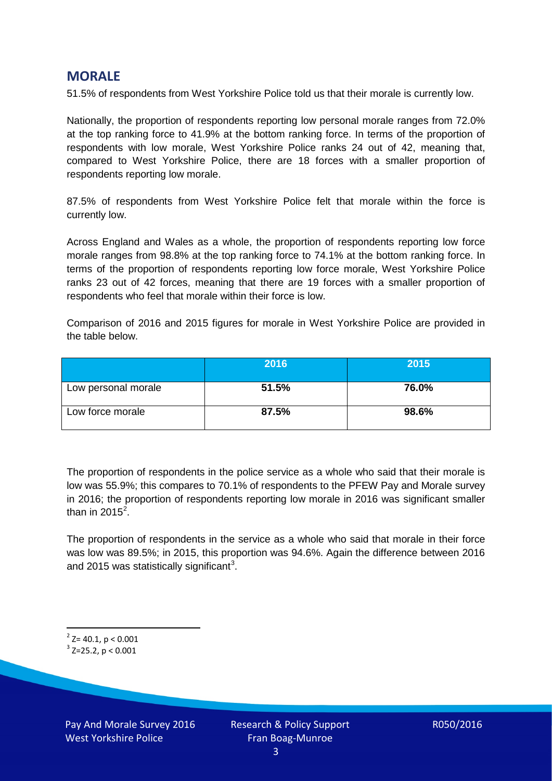## **MORALE**

51.5% of respondents from West Yorkshire Police told us that their morale is currently low.

Nationally, the proportion of respondents reporting low personal morale ranges from 72.0% at the top ranking force to 41.9% at the bottom ranking force. In terms of the proportion of respondents with low morale, West Yorkshire Police ranks 24 out of 42, meaning that, compared to West Yorkshire Police, there are 18 forces with a smaller proportion of respondents reporting low morale.

87.5% of respondents from West Yorkshire Police felt that morale within the force is currently low.

Across England and Wales as a whole, the proportion of respondents reporting low force morale ranges from 98.8% at the top ranking force to 74.1% at the bottom ranking force. In terms of the proportion of respondents reporting low force morale, West Yorkshire Police ranks 23 out of 42 forces, meaning that there are 19 forces with a smaller proportion of respondents who feel that morale within their force is low.

Comparison of 2016 and 2015 figures for morale in West Yorkshire Police are provided in the table below.

|                     | 2016  | 2015  |
|---------------------|-------|-------|
| Low personal morale | 51.5% | 76.0% |
| Low force morale    | 87.5% | 98.6% |

The proportion of respondents in the police service as a whole who said that their morale is low was 55.9%; this compares to 70.1% of respondents to the PFEW Pay and Morale survey in 2016; the proportion of respondents reporting low morale in 2016 was significant smaller than in [2](#page-2-0)015 $^2$ .

The proportion of respondents in the service as a whole who said that morale in their force was low was 89.5%; in 2015, this proportion was 94.6%. Again the difference between 2016 and 2015 was statistically significant<sup>[3](#page-2-1)</sup>.

<span id="page-2-0"></span> $2$ <sup>2</sup> Z= 40.1, p < 0.001

<span id="page-2-1"></span> $3$  Z=25.2, p < 0.001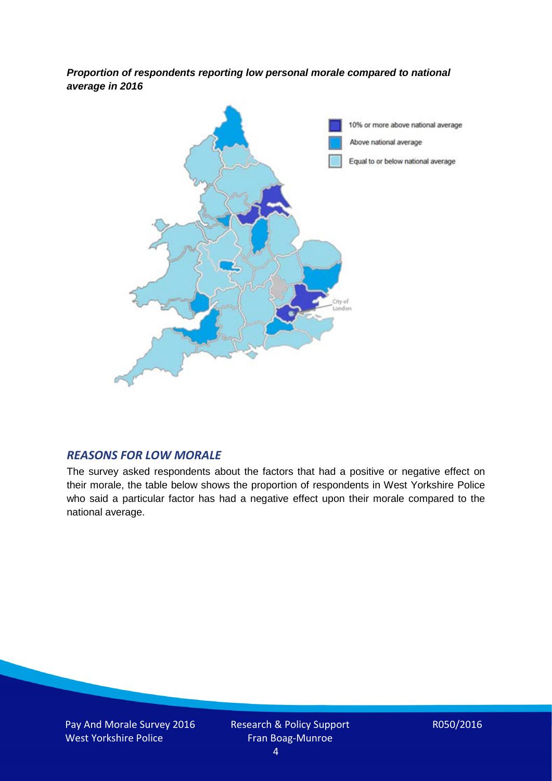*Proportion of respondents reporting low personal morale compared to national average in 2016*



#### *REASONS FOR LOW MORALE*

The survey asked respondents about the factors that had a positive or negative effect on their morale, the table below shows the proportion of respondents in West Yorkshire Police who said a particular factor has had a negative effect upon their morale compared to the national average.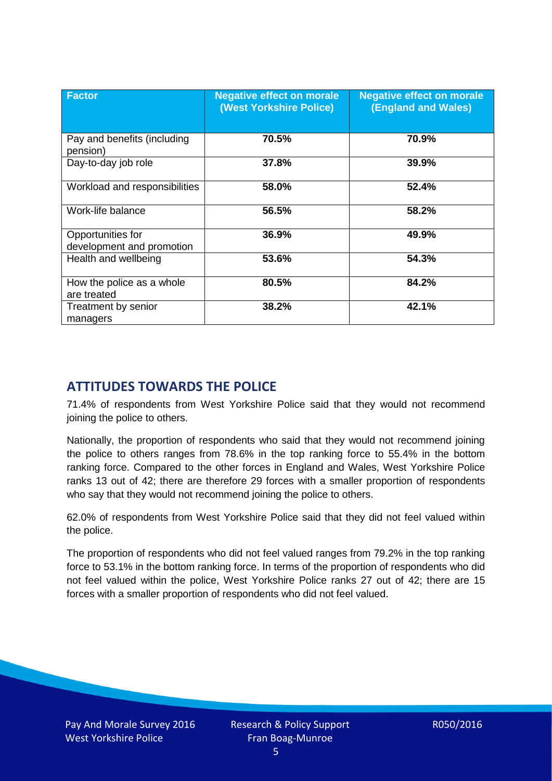| <b>Factor</b>                                  | <b>Negative effect on morale</b><br>(West Yorkshire Police) | <b>Negative effect on morale</b><br><b>(England and Wales)</b> |
|------------------------------------------------|-------------------------------------------------------------|----------------------------------------------------------------|
| Pay and benefits (including<br>pension)        | 70.5%                                                       | 70.9%                                                          |
| Day-to-day job role                            | 37.8%                                                       | 39.9%                                                          |
| Workload and responsibilities                  | 58.0%                                                       | 52.4%                                                          |
| Work-life balance                              | 56.5%                                                       | 58.2%                                                          |
| Opportunities for<br>development and promotion | 36.9%                                                       | 49.9%                                                          |
| Health and wellbeing                           | 53.6%                                                       | 54.3%                                                          |
| How the police as a whole<br>are treated       | 80.5%                                                       | 84.2%                                                          |
| Treatment by senior<br>managers                | 38.2%                                                       | 42.1%                                                          |

# **ATTITUDES TOWARDS THE POLICE**

71.4% of respondents from West Yorkshire Police said that they would not recommend joining the police to others.

Nationally, the proportion of respondents who said that they would not recommend joining the police to others ranges from 78.6% in the top ranking force to 55.4% in the bottom ranking force. Compared to the other forces in England and Wales, West Yorkshire Police ranks 13 out of 42; there are therefore 29 forces with a smaller proportion of respondents who say that they would not recommend joining the police to others.

62.0% of respondents from West Yorkshire Police said that they did not feel valued within the police.

The proportion of respondents who did not feel valued ranges from 79.2% in the top ranking force to 53.1% in the bottom ranking force. In terms of the proportion of respondents who did not feel valued within the police, West Yorkshire Police ranks 27 out of 42; there are 15 forces with a smaller proportion of respondents who did not feel valued.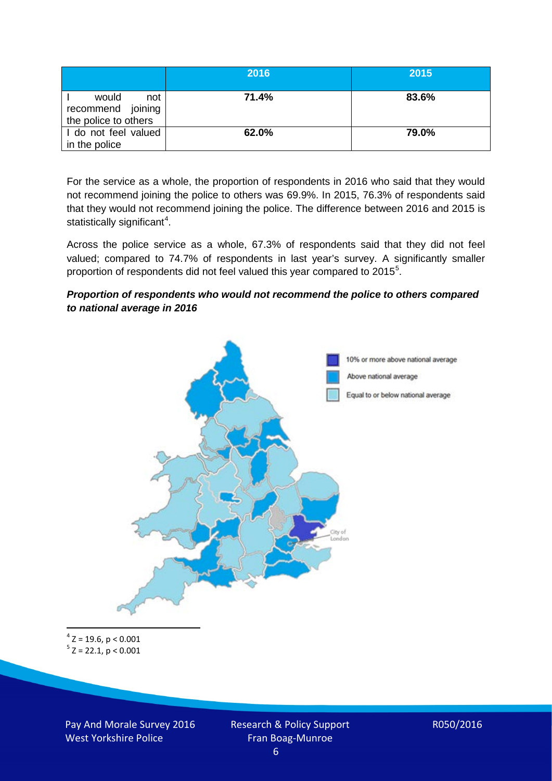|                                                           | 2016  | 2015  |
|-----------------------------------------------------------|-------|-------|
| would<br>not<br>recommend joining<br>the police to others | 71.4% | 83.6% |
| I do not feel valued<br>in the police                     | 62.0% | 79.0% |

For the service as a whole, the proportion of respondents in 2016 who said that they would not recommend joining the police to others was 69.9%. In 2015, 76.3% of respondents said that they would not recommend joining the police. The difference between 2016 and 2015 is statistically significant<sup>[4](#page-5-0)</sup>.

Across the police service as a whole, 67.3% of respondents said that they did not feel valued; compared to 74.7% of respondents in last year's survey. A significantly smaller proportion of respondents did not feel valued this year compared to 201[5](#page-5-1)<sup>5</sup>.

#### *Proportion of respondents who would not recommend the police to others compared to national average in 2016*



<span id="page-5-1"></span><span id="page-5-0"></span> $4$  Z = 19.6, p < 0.001  $5$  Z = 22.1, p < 0.001

Pay And Morale Survey 2016 West Yorkshire Police

Research & Policy Support Fran Boag-Munroe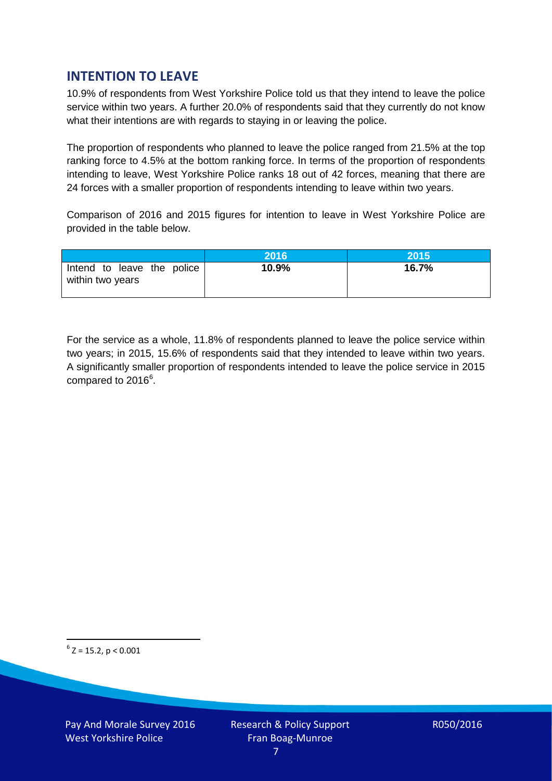# **INTENTION TO LEAVE**

10.9% of respondents from West Yorkshire Police told us that they intend to leave the police service within two years. A further 20.0% of respondents said that they currently do not know what their intentions are with regards to staying in or leaving the police.

The proportion of respondents who planned to leave the police ranged from 21.5% at the top ranking force to 4.5% at the bottom ranking force. In terms of the proportion of respondents intending to leave, West Yorkshire Police ranks 18 out of 42 forces, meaning that there are 24 forces with a smaller proportion of respondents intending to leave within two years.

Comparison of 2016 and 2015 figures for intention to leave in West Yorkshire Police are provided in the table below.

|                                                | 2016  | 2015  |
|------------------------------------------------|-------|-------|
| Intend to leave the police<br>within two years | 10.9% | 16.7% |

For the service as a whole, 11.8% of respondents planned to leave the police service within two years; in 2015, 15.6% of respondents said that they intended to leave within two years. A significantly smaller proportion of respondents intended to leave the police service in 2015 compared to 201[6](#page-6-0)<sup>6</sup>.

<span id="page-6-0"></span> $6$  Z = 15.2, p < 0.001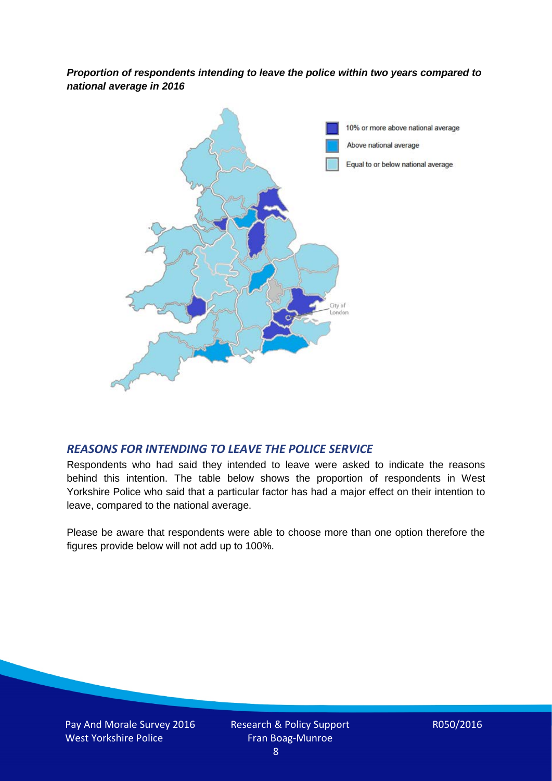*Proportion of respondents intending to leave the police within two years compared to national average in 2016*



#### *REASONS FOR INTENDING TO LEAVE THE POLICE SERVICE*

Respondents who had said they intended to leave were asked to indicate the reasons behind this intention. The table below shows the proportion of respondents in West Yorkshire Police who said that a particular factor has had a major effect on their intention to leave, compared to the national average.

Please be aware that respondents were able to choose more than one option therefore the figures provide below will not add up to 100%.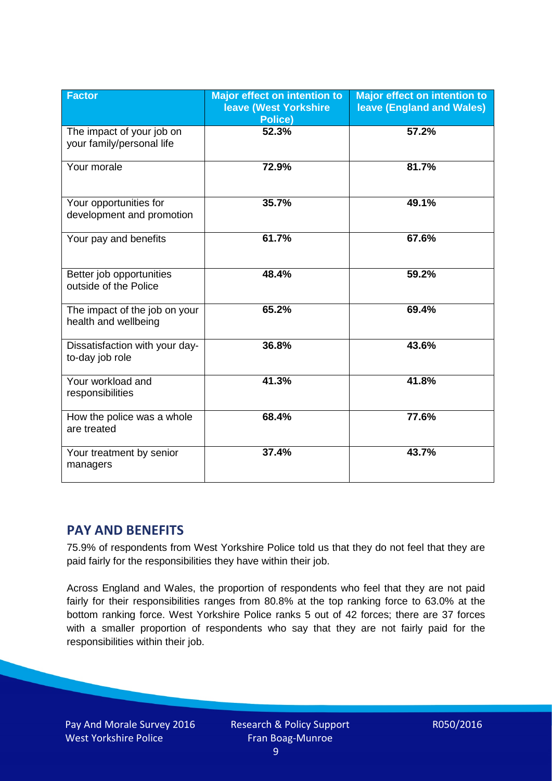| <b>Factor</b>                                          | <b>Major effect on intention to</b><br><b>leave (West Yorkshire</b><br><b>Police)</b> | <b>Major effect on intention to</b><br>leave (England and Wales) |
|--------------------------------------------------------|---------------------------------------------------------------------------------------|------------------------------------------------------------------|
| The impact of your job on<br>your family/personal life | 52.3%                                                                                 | 57.2%                                                            |
| Your morale                                            | 72.9%                                                                                 | 81.7%                                                            |
| Your opportunities for<br>development and promotion    | 35.7%                                                                                 | 49.1%                                                            |
| Your pay and benefits                                  | 61.7%                                                                                 | 67.6%                                                            |
| Better job opportunities<br>outside of the Police      | 48.4%                                                                                 | 59.2%                                                            |
| The impact of the job on your<br>health and wellbeing  | 65.2%                                                                                 | 69.4%                                                            |
| Dissatisfaction with your day-<br>to-day job role      | 36.8%                                                                                 | 43.6%                                                            |
| Your workload and<br>responsibilities                  | 41.3%                                                                                 | 41.8%                                                            |
| How the police was a whole<br>are treated              | 68.4%                                                                                 | 77.6%                                                            |
| Your treatment by senior<br>managers                   | 37.4%                                                                                 | 43.7%                                                            |

# **PAY AND BENEFITS**

75.9% of respondents from West Yorkshire Police told us that they do not feel that they are paid fairly for the responsibilities they have within their job.

Across England and Wales, the proportion of respondents who feel that they are not paid fairly for their responsibilities ranges from 80.8% at the top ranking force to 63.0% at the bottom ranking force. West Yorkshire Police ranks 5 out of 42 forces; there are 37 forces with a smaller proportion of respondents who say that they are not fairly paid for the responsibilities within their job.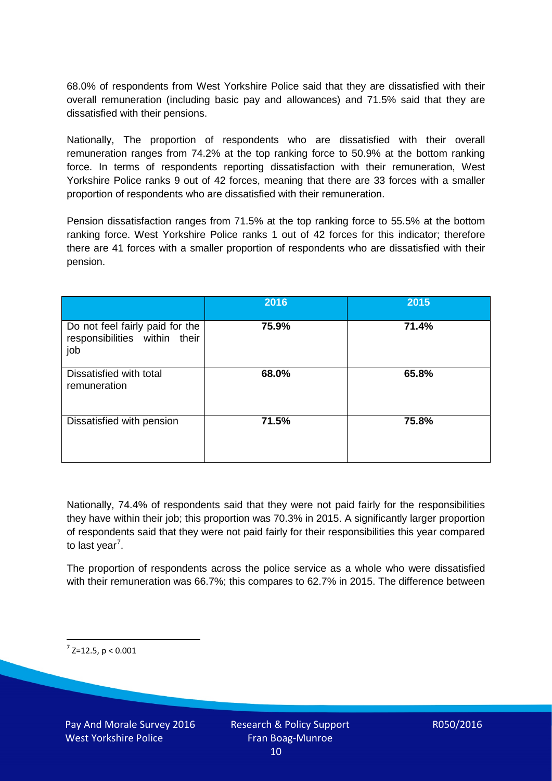68.0% of respondents from West Yorkshire Police said that they are dissatisfied with their overall remuneration (including basic pay and allowances) and 71.5% said that they are dissatisfied with their pensions.

Nationally, The proportion of respondents who are dissatisfied with their overall remuneration ranges from 74.2% at the top ranking force to 50.9% at the bottom ranking force. In terms of respondents reporting dissatisfaction with their remuneration, West Yorkshire Police ranks 9 out of 42 forces, meaning that there are 33 forces with a smaller proportion of respondents who are dissatisfied with their remuneration.

Pension dissatisfaction ranges from 71.5% at the top ranking force to 55.5% at the bottom ranking force. West Yorkshire Police ranks 1 out of 42 forces for this indicator; therefore there are 41 forces with a smaller proportion of respondents who are dissatisfied with their pension.

|                                                                         | 2016  | 2015  |
|-------------------------------------------------------------------------|-------|-------|
| Do not feel fairly paid for the<br>responsibilities within their<br>job | 75.9% | 71.4% |
| Dissatisfied with total<br>remuneration                                 | 68.0% | 65.8% |
| Dissatisfied with pension                                               | 71.5% | 75.8% |

Nationally, 74.4% of respondents said that they were not paid fairly for the responsibilities they have within their job; this proportion was 70.3% in 2015. A significantly larger proportion of respondents said that they were not paid fairly for their responsibilities this year compared to last year<sup>[7](#page-9-0)</sup>.

The proportion of respondents across the police service as a whole who were dissatisfied with their remuneration was 66.7%; this compares to 62.7% in 2015. The difference between

<span id="page-9-0"></span> $7$  Z=12.5, p < 0.001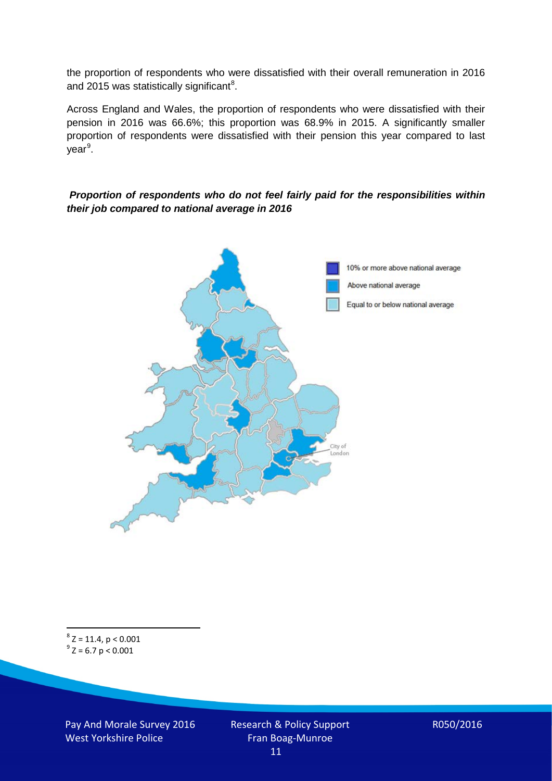the proportion of respondents who were dissatisfied with their overall remuneration in 2016 and 2015 was statistically significant<sup>[8](#page-10-0)</sup>.

Across England and Wales, the proportion of respondents who were dissatisfied with their pension in 2016 was 66.6%; this proportion was 68.9% in 2015. A significantly smaller proportion of respondents were dissatisfied with their pension this year compared to last year<sup>[9](#page-10-1)</sup>.

#### *Proportion of respondents who do not feel fairly paid for the responsibilities within their job compared to national average in 2016*



<span id="page-10-1"></span><span id="page-10-0"></span> $8$  Z = 11.4, p < 0.001  $9^{\circ}$  Z = 6.7 p < 0.001